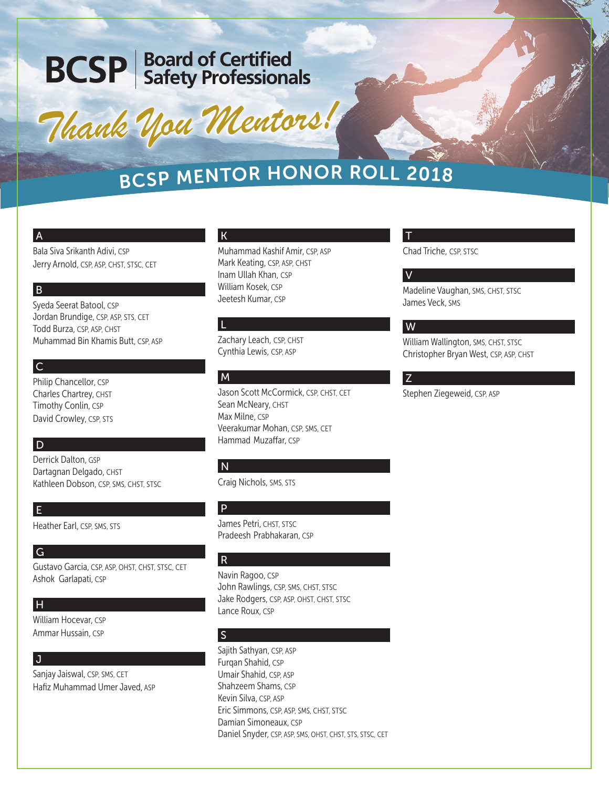# **BCSP** Board of Certified

*Thank You Mentors! Thank You Mentors!*

# <sup>B</sup>CS<sup>P</sup> <sup>M</sup>ENTO<sup>R</sup> <sup>H</sup>ONO<sup>R</sup> <sup>R</sup>OL<sup>L</sup> <sup>2</sup>01<sup>8</sup>

### A

Bala Siva Srikanth Adivi, CSP Jerry Arnold, CSP, ASP, CHST, STSC, CET

### B

Syeda Seerat Batool, CSP Jordan Brundige, CSP, ASP, STS, CET Todd Burza, CSP, ASP, CHST Muhammad Bin Khamis Butt, CSP, ASP

# $|c|$

Philip Chancellor, CSP Charles Chartrey, CHST Timothy Conlin, CSP David Crowley, CSP, STS

# D

Derrick Dalton, GSP Dartagnan Delgado, CHST Kathleen Dobson, CSP, SMS, CHST, STSC

# E

Heather Earl, CSP, SMS, STS

#### G

Gustavo Garcia, CSP, ASP, OHST, CHST, STSC, CET Ashok Garlapati, CSP

#### H

William Hocevar, CSP Ammar Hussain, CSP

# l J

Sanjay Jaiswal, CSP, SMS, CET Hafiz Muhammad Umer Javed, ASP

#### K

Muhammad Kashif Amir, CSP, ASP Mark Keating, CSP, ASP, CHST Inam Ullah Khan, CSP William Kosek, CSP Jeetesh Kumar, CSP

#### L

Zachary Leach, CSP, CHST Cynthia Lewis, CSP, ASP

# M

Jason Scott McCormick, CSP, CHST, CET Sean McNeary, CHST Max Milne, CSP Veerakumar Mohan, CSP, SMS, CET Hammad Muzaffar, CSP

# N

Craig Nichols, SMS, STS

# P

James Petri, CHST, STSC Pradeesh Prabhakaran, CSP

# R

Navin Ragoo, CSP John Rawlings, CSP, SMS, CHST, STSC Jake Rodgers, CSP, ASP, OHST, CHST, STSC Lance Roux, CSP

# S

Sajith Sathyan, CSP, ASP Furqan Shahid, CSP Umair Shahid, CSP, ASP Shahzeem Shams, CSP Kevin Silva, CSP, ASP Eric Simmons, CSP, ASP, SMS, CHST, STSC Damian Simoneaux, CSP Daniel Snyder, CSP, ASP, SMS, OHST, CHST, STS, STSC, CET

#### T

Chad Triche, CSP, STSC

#### V

Madeline Vaughan, SMS, CHST, STSC James Veck, SMS

#### W

William Wallington, SMS, CHST, STSC Christopher Bryan West, CSP, ASP, CHST

Z

Stephen Ziegeweid, CSP, ASP